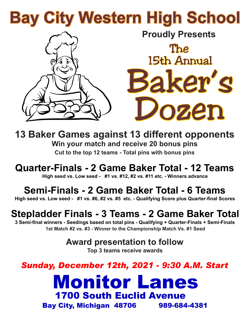# **Bay City Western High School**



**Proudly Presents** The Baker's Dozen 15th Annual

**13 Baker Games against 13 different opponents Win your match and receive 20 bonus pins Cut to the top 12 teams - Total pins with bonus pins**

**Quarter-Finals - 2 Game Baker Total - 12 Teams**

**High seed vs. Low seed - #1 vs. #12, #2 vs. #11 etc. - Winners advance**

#### **Semi-Finals - 2 Game Baker Total - 6 Teams**

**High seed vs. Low seed - #1 vs. #6, #2 vs. #5 etc. - Qualifying Score plus Quarter-final Scores**

### **Stepladder Finals - 3 Teams - 2 Game Baker Total**

**3 Semi-final winners - Seedings based on total pins - Qualifying + Quarter-Finals + Semi-Finals 1st Match #2 vs. #3 - Winner to the Championship Match Vs. #1 Seed**

**Award presentation to follow**

**Top 3 teams receive awards**

*Sunday, December 12th, 2021 - 9:30 A.M. Start*

## Monitor Lanes 1700 South Euclid Avenue

Bay City, Michigan 48706 989-684-4381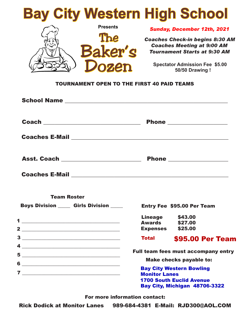

#### TOURNAMENT OPEN TO THE FIRST 40 PAID TEAMS

| Coaches E-Mail <b>Coaches E-Mail</b>            |                                                                                            |                                            |
|-------------------------------------------------|--------------------------------------------------------------------------------------------|--------------------------------------------|
| Asst. Coach _______________________             |                                                                                            |                                            |
| Coaches E-Mail <b>Coaches E-Mail</b>            |                                                                                            |                                            |
| <b>Team Roster</b>                              |                                                                                            |                                            |
| <b>Boys Division _____ Girls Division _____</b> |                                                                                            | <b>Entry Fee \$95.00 Per Team</b>          |
|                                                 | <b>Lineage \$43.00</b><br><b>Awards</b> \$27.00<br>Expenses \$25.00                        |                                            |
| $\begin{tabular}{c} 3 \end{tabular}$            | <b>Total</b>                                                                               | <b>\$95.00 Per Team</b>                    |
| $\overline{4}$ $\overline{\phantom{1}}$         |                                                                                            | <b>Full team fees must accompany entry</b> |
|                                                 | <b>Make checks payable to:</b>                                                             |                                            |
| 6<br>$7 \overline{\phantom{a}}$                 | <b>Bay City Western Bowling</b><br><b>Monitor Lanes</b><br><b>1700 South Euclid Avenue</b> |                                            |

For more information contact:

Bay City, Michigan 48706-3322

Rick Dodick at Monitor Lanes 989-684-4381 E-Mail: RJD300@AOL.COM